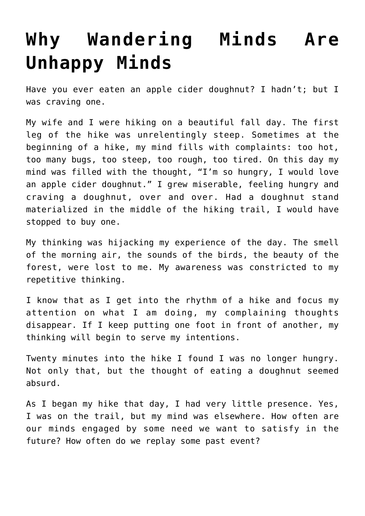## **[Why Wandering Minds Are](https://intellectualtakeout.org/2016/12/why-wandering-minds-are-unhappy-minds/) [Unhappy Minds](https://intellectualtakeout.org/2016/12/why-wandering-minds-are-unhappy-minds/)**

Have you ever eaten an apple cider doughnut? I hadn't; but I was craving one.

My wife and I were hiking on a beautiful fall day. The first leg of the hike was unrelentingly steep. Sometimes at the beginning of a hike, my mind fills with complaints: too hot, too many bugs, too steep, too rough, too tired. On this day my mind was filled with the thought, "I'm so hungry, I would love an apple cider doughnut." I grew miserable, feeling hungry and craving a doughnut, over and over. Had a doughnut stand materialized in the middle of the hiking trail, I would have stopped to buy one.

My thinking was hijacking my experience of the day. The smell of the morning air, the sounds of the birds, the beauty of the forest, were lost to me. My awareness was constricted to my repetitive thinking.

I know that as I get into the rhythm of a hike and focus my attention on what I am doing, my complaining thoughts disappear. If I keep putting one foot in front of another, my thinking will begin to serve my intentions.

Twenty minutes into the hike I found I was no longer hungry. Not only that, but the thought of eating a doughnut seemed absurd.

As I began my hike that day, I had very little presence. Yes, I was on the trail, but my mind was elsewhere. How often are our minds engaged by some need we want to satisfy in the future? How often do we replay some past event?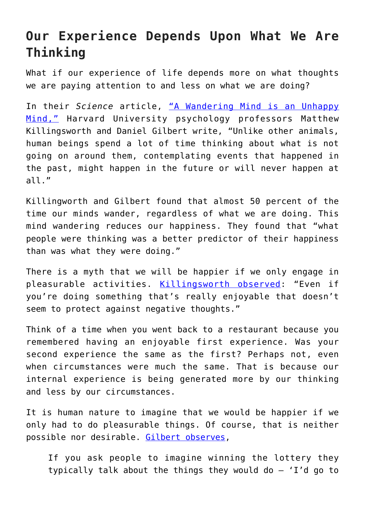## **Our Experience Depends Upon What We Are Thinking**

What if our experience of life depends more on what thoughts we are paying attention to and less on what we are doing?

In their *Science* article, ["A Wandering Mind is an Unhappy](http://www.danielgilbert.com/KILLINGSWORTH%20&%20GILBERT%20(2010).pdf) [Mind,"](http://www.danielgilbert.com/KILLINGSWORTH%20&%20GILBERT%20(2010).pdf) Harvard University psychology professors Matthew Killingsworth and Daniel Gilbert write, "Unlike other animals, human beings spend a lot of time thinking about what is not going on around them, contemplating events that happened in the past, might happen in the future or will never happen at all."

Killingworth and Gilbert found that almost 50 percent of the time our minds wander, regardless of what we are doing. This mind wandering reduces our happiness. They found that "what people were thinking was a better predictor of their happiness than was what they were doing."

There is a myth that we will be happier if we only engage in pleasurable activities. [Killingsworth observed](http://www.nytimes.com/2010/11/16/science/16tier.html): "Even if you're doing something that's really enjoyable that doesn't seem to protect against negative thoughts."

Think of a time when you went back to a restaurant because you remembered having an enjoyable first experience. Was your second experience the same as the first? Perhaps not, even when circumstances were much the same. That is because our internal experience is being generated more by our thinking and less by our circumstances.

It is human nature to imagine that we would be happier if we only had to do pleasurable things. Of course, that is neither possible nor desirable. [Gilbert observes,](http://www.nytimes.com/2010/11/16/science/16tier.html)

If you ask people to imagine winning the lottery they typically talk about the things they would do — 'I'd go to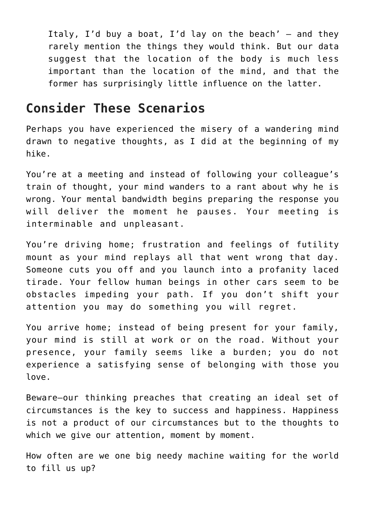Italy, I'd buy a boat, I'd lay on the beach'  $-$  and they rarely mention the things they would think. But our data suggest that the location of the body is much less important than the location of the mind, and that the former has surprisingly little influence on the latter.

## **Consider These Scenarios**

Perhaps you have experienced the misery of a wandering mind drawn to negative thoughts, as I did at the beginning of my hike.

You're at a meeting and instead of following your colleague's train of thought, your mind wanders to a rant about why he is wrong. Your mental bandwidth begins preparing the response you will deliver the moment he pauses. Your meeting is interminable and unpleasant.

You're driving home; frustration and feelings of futility mount as your mind replays all that went wrong that day. Someone cuts you off and you launch into a profanity laced tirade. Your fellow human beings in other cars seem to be obstacles impeding your path. If you don't shift your attention you may do something you will regret.

You arrive home; instead of being present for your family, your mind is still at work or on the road. Without your presence, your family seems like a burden; you do not experience a satisfying sense of belonging with those you love.

Beware—our thinking preaches that creating an ideal set of circumstances is the key to success and happiness. Happiness is not a product of our circumstances but to the thoughts to which we give our attention, moment by moment.

How often are we one big needy machine waiting for the world to fill us up?